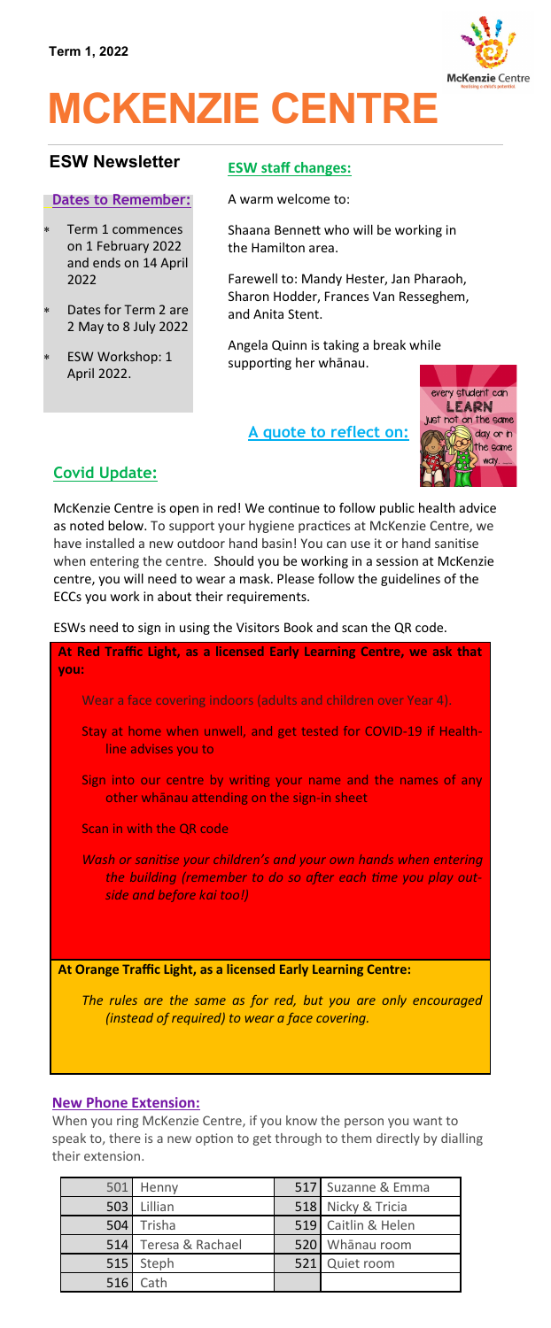

# **MCKENZIE CENTRE**

# **ESW Newsletter ESW staff changes:**

#### **Dates to Remember:**

- Term 1 commences on 1 February 2022 and ends on 14 April 2022
- Dates for Term 2 are 2 May to 8 July 2022
- ESW Workshop: 1 April 2022.

A warm welcome to:

Shaana Bennett who will be working in the Hamilton area.

Farewell to: Mandy Hester, Jan Pharaoh, Sharon Hodder, Frances Van Resseghem, and Anita Stent.

Angela Quinn is taking a break while supporting her whānau.

**A quote to reflect on:**



# **Covid Update:**

McKenzie Centre is open in red! We continue to follow public health advice as noted below. To support your hygiene practices at McKenzie Centre, we have installed a new outdoor hand basin! You can use it or hand sanitise when entering the centre. Should you be working in a session at McKenzie centre, you will need to wear a mask. Please follow the guidelines of the ECCs you work in about their requirements.

ESWs need to sign in using the Visitors Book and scan the QR code.

| At Red Traffic Light, as a licensed Early Learning Centre, we ask that<br>you:                                                                                  |  |  |
|-----------------------------------------------------------------------------------------------------------------------------------------------------------------|--|--|
| Wear a face covering indoors (adults and children over Year 4).                                                                                                 |  |  |
| Stay at home when unwell, and get tested for COVID-19 if Health-<br>line advises you to                                                                         |  |  |
| Sign into our centre by writing your name and the names of any<br>other whanau attending on the sign-in sheet                                                   |  |  |
| Scan in with the QR code                                                                                                                                        |  |  |
| Wash or sanitise your children's and your own hands when entering<br>the building (remember to do so after each time you play out-<br>side and before kai too!) |  |  |
|                                                                                                                                                                 |  |  |
| At Orange Traffic Light, as a licensed Early Learning Centre:                                                                                                   |  |  |
| The rules are the same as for red, but you are only encouraged<br>(instead of required) to wear a face covering.                                                |  |  |

### **New Phone Extension:**

When you ring McKenzie Centre, if you know the person you want to speak to, there is a new option to get through to them directly by dialling their extension.

|     | 501 Henny            | 517 Suzanne & Emma  |
|-----|----------------------|---------------------|
|     | 503 Lillian          | 518 Nicky & Tricia  |
| 504 | Trisha               | 519 Caitlin & Helen |
|     | 514 Teresa & Rachael | 520 Whanau room     |
|     | 515 Steph            | 521 Quiet room      |
| 516 | Cath                 |                     |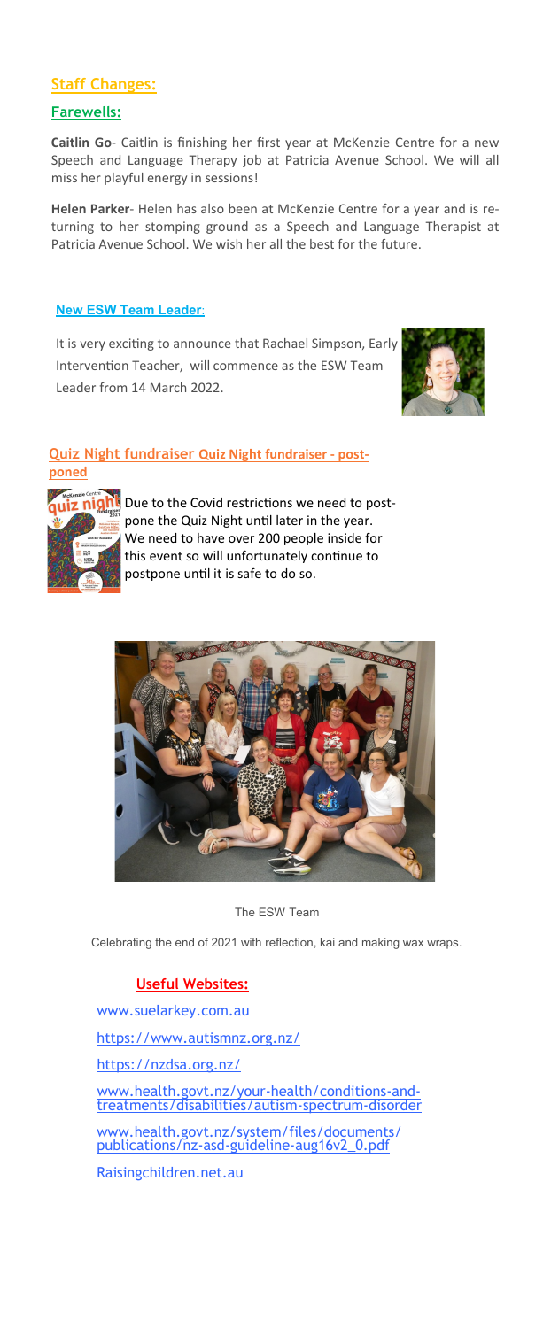# **Staff Changes:**

# **Farewells:**

**Caitlin Go**- Caitlin is finishing her first year at McKenzie Centre for a new Speech and Language Therapy job at Patricia Avenue School. We will all miss her playful energy in sessions!

**Helen Parker**- Helen has also been at McKenzie Centre for a year and is returning to her stomping ground as a Speech and Language Therapist at Patricia Avenue School. We wish her all the best for the future.

## **New ESW Team Leader**:

It is very exciting to announce that Rachael Simpson, Early Intervention Teacher, will commence as the ESW Team Leader from 14 March 2022.



#### **Quiz Night fundraiser Quiz Night fundraiser - postponed**



**Z** night Due to the Covid restrictions we need to postpone the Quiz Night until later in the year. We need to have over 200 people inside for this event so will unfortunately continue to postpone until it is safe to do so.



#### The ESW Team

Celebrating the end of 2021 with reflection, kai and making wax wraps.

# **Useful Websites:**

www.suelarkey.com.au

<https://www.autismnz.org.nz/>

<https://nzdsa.org.nz/>

[www.health.govt.nz/your](http://www.health.govt.nz/your-health/conditions-and-treatments/disabilities/autism-spectrum-disorder)-health/conditions-and[treatments/disabilities/autism](http://www.health.govt.nz/your-health/conditions-and-treatments/disabilities/autism-spectrum-disorder)-spectrum-disorder

[www.health.govt.nz/system/files/documents/](http://www.health.govt.nz/system/files/documents/publications/nz-asd-guideline-aug16v2_0.pdf) [publications/nz](http://www.health.govt.nz/system/files/documents/publications/nz-asd-guideline-aug16v2_0.pdf)-asd-guideline-aug16v2\_0.pdf

Raisingchildren.net.au